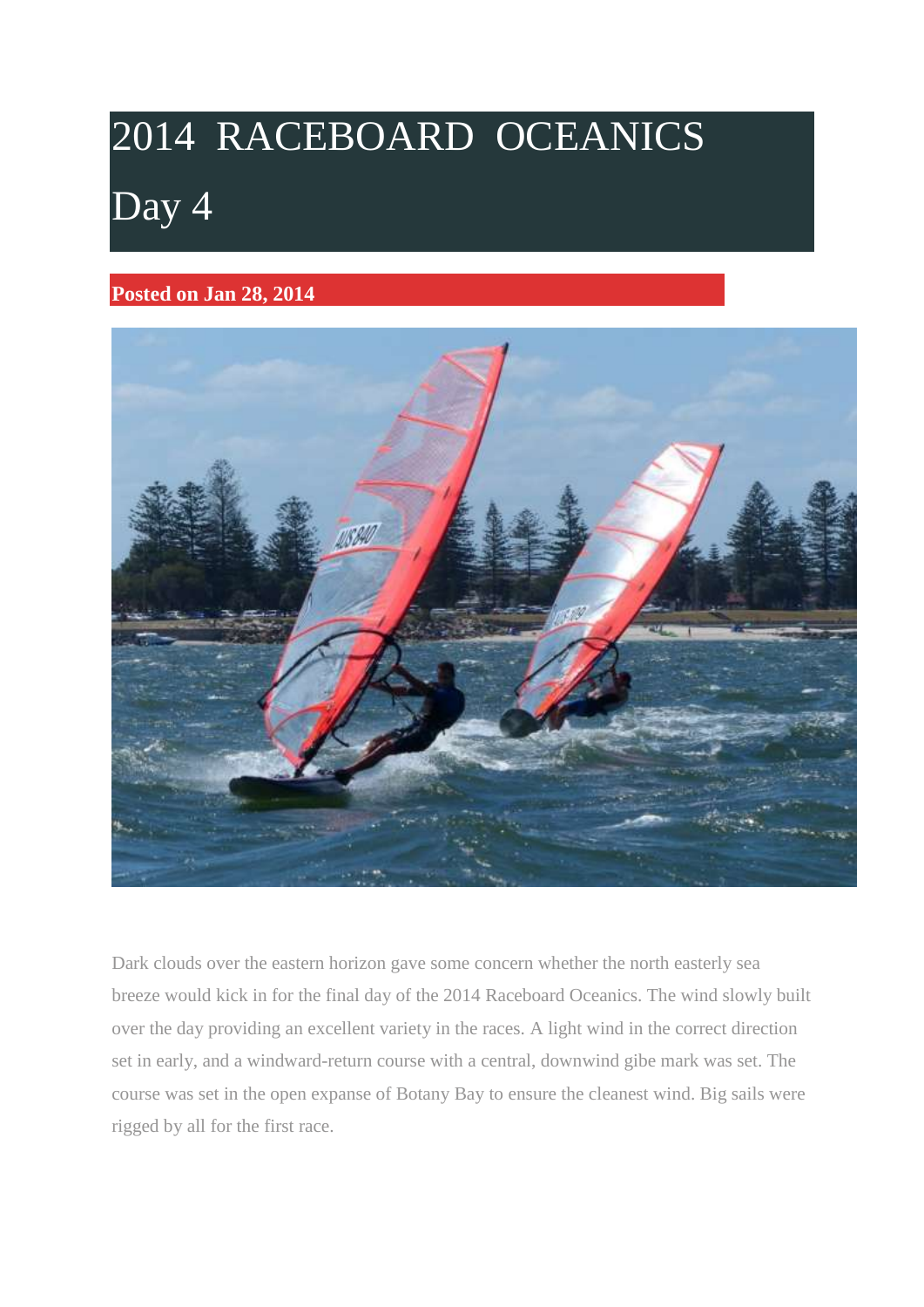# 2014 RACEBOARD OCEANICS [Day 4](http://www.raceboards.net.au/uncategorized/day-4/)

## **Posted on Jan 28, 2014**



Dark clouds over the eastern horizon gave some concern whether the north easterly sea breeze would kick in for the final day of the 2014 Raceboard Oceanics. The wind slowly built over the day providing an excellent variety in the races. A light wind in the correct direction set in early, and a windward-return course with a central, downwind gibe mark was set. The course was set in the open expanse of Botany Bay to ensure the cleanest wind. Big sails were rigged by all for the first race.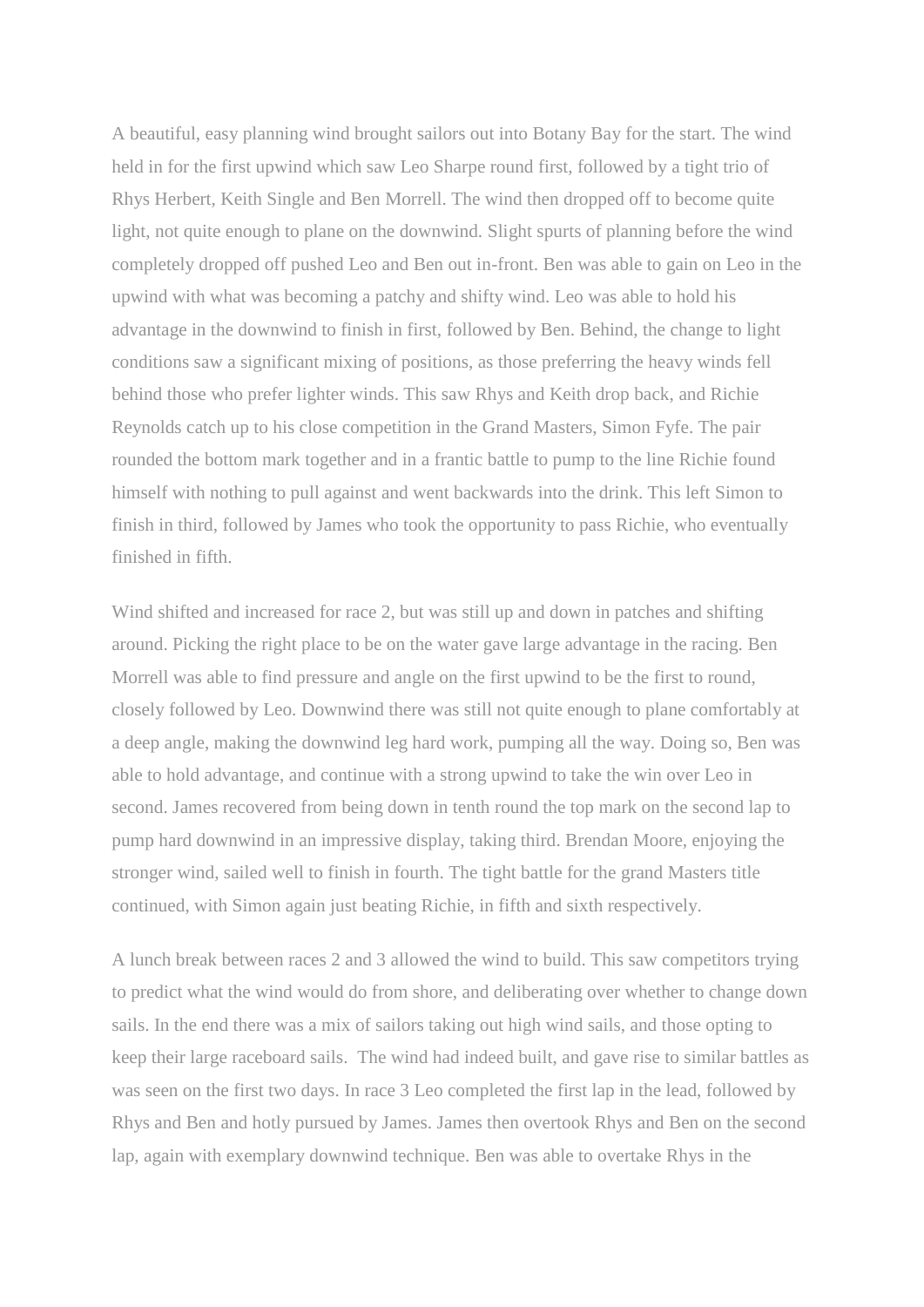A beautiful, easy planning wind brought sailors out into Botany Bay for the start. The wind held in for the first upwind which saw Leo Sharpe round first, followed by a tight trio of Rhys Herbert, Keith Single and Ben Morrell. The wind then dropped off to become quite light, not quite enough to plane on the downwind. Slight spurts of planning before the wind completely dropped off pushed Leo and Ben out in-front. Ben was able to gain on Leo in the upwind with what was becoming a patchy and shifty wind. Leo was able to hold his advantage in the downwind to finish in first, followed by Ben. Behind, the change to light conditions saw a significant mixing of positions, as those preferring the heavy winds fell behind those who prefer lighter winds. This saw Rhys and Keith drop back, and Richie Reynolds catch up to his close competition in the Grand Masters, Simon Fyfe. The pair rounded the bottom mark together and in a frantic battle to pump to the line Richie found himself with nothing to pull against and went backwards into the drink. This left Simon to finish in third, followed by James who took the opportunity to pass Richie, who eventually finished in fifth.

Wind shifted and increased for race 2, but was still up and down in patches and shifting around. Picking the right place to be on the water gave large advantage in the racing. Ben Morrell was able to find pressure and angle on the first upwind to be the first to round, closely followed by Leo. Downwind there was still not quite enough to plane comfortably at a deep angle, making the downwind leg hard work, pumping all the way. Doing so, Ben was able to hold advantage, and continue with a strong upwind to take the win over Leo in second. James recovered from being down in tenth round the top mark on the second lap to pump hard downwind in an impressive display, taking third. Brendan Moore, enjoying the stronger wind, sailed well to finish in fourth. The tight battle for the grand Masters title continued, with Simon again just beating Richie, in fifth and sixth respectively.

A lunch break between races 2 and 3 allowed the wind to build. This saw competitors trying to predict what the wind would do from shore, and deliberating over whether to change down sails. In the end there was a mix of sailors taking out high wind sails, and those opting to keep their large raceboard sails. The wind had indeed built, and gave rise to similar battles as was seen on the first two days. In race 3 Leo completed the first lap in the lead, followed by Rhys and Ben and hotly pursued by James. James then overtook Rhys and Ben on the second lap, again with exemplary downwind technique. Ben was able to overtake Rhys in the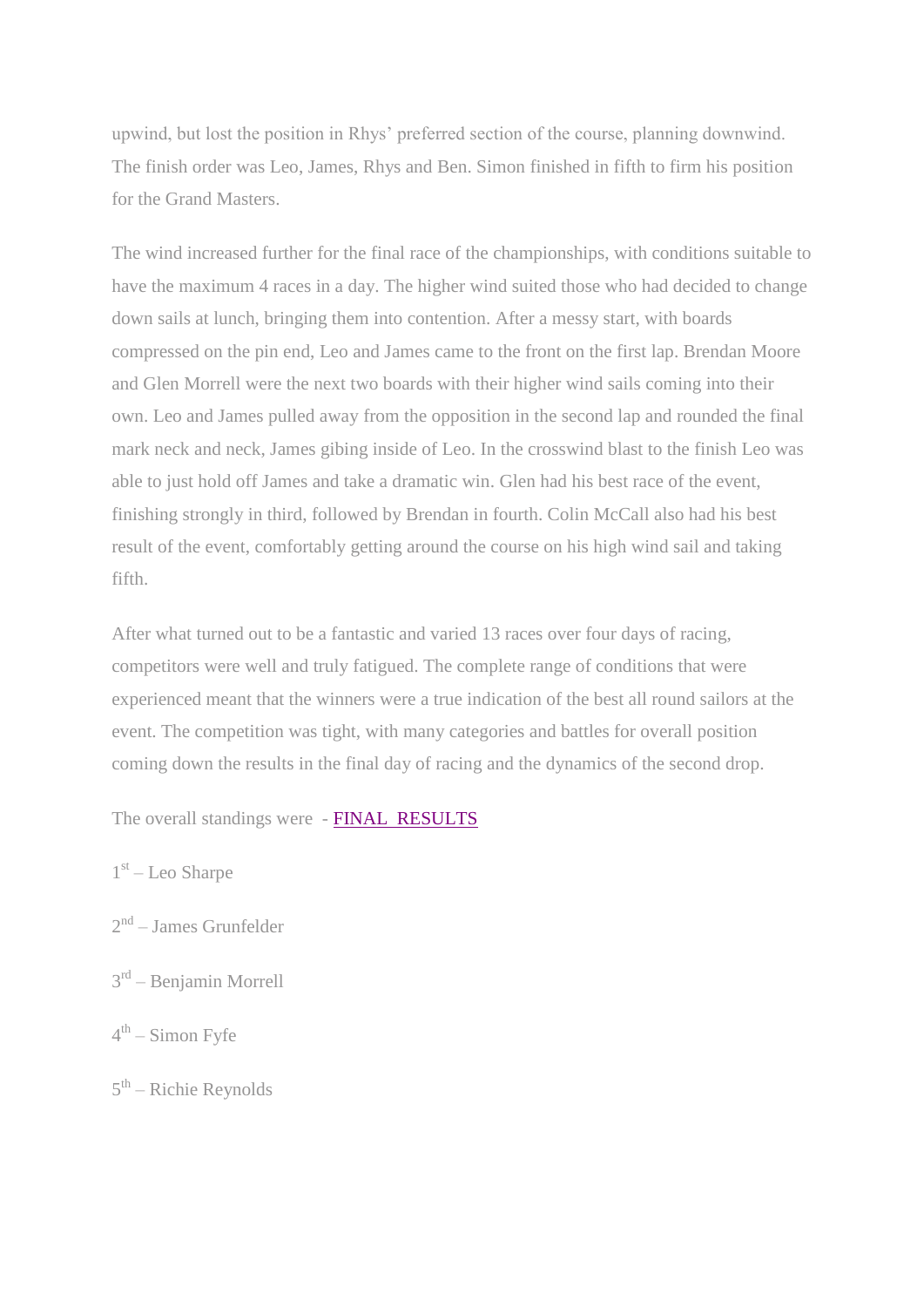upwind, but lost the position in Rhys' preferred section of the course, planning downwind. The finish order was Leo, James, Rhys and Ben. Simon finished in fifth to firm his position for the Grand Masters.

The wind increased further for the final race of the championships, with conditions suitable to have the maximum 4 races in a day. The higher wind suited those who had decided to change down sails at lunch, bringing them into contention. After a messy start, with boards compressed on the pin end, Leo and James came to the front on the first lap. Brendan Moore and Glen Morrell were the next two boards with their higher wind sails coming into their own. Leo and James pulled away from the opposition in the second lap and rounded the final mark neck and neck, James gibing inside of Leo. In the crosswind blast to the finish Leo was able to just hold off James and take a dramatic win. Glen had his best race of the event, finishing strongly in third, followed by Brendan in fourth. Colin McCall also had his best result of the event, comfortably getting around the course on his high wind sail and taking fifth.

After what turned out to be a fantastic and varied 13 races over four days of racing, competitors were well and truly fatigued. The complete range of conditions that were experienced meant that the winners were a true indication of the best all round sailors at the event. The competition was tight, with many categories and battles for overall position coming down the results in the final day of racing and the dynamics of the second drop.

The overall standings were - [FINAL RESULTS](Raceboard%20Results.pdf)

- 1<sup>st</sup> Leo Sharpe
- 2<sup>nd</sup> James Grunfelder
- 3<sup>rd</sup> Benjamin Morrell
- 4<sup>th</sup> Simon Fyfe
- 5<sup>th</sup> Richie Reynolds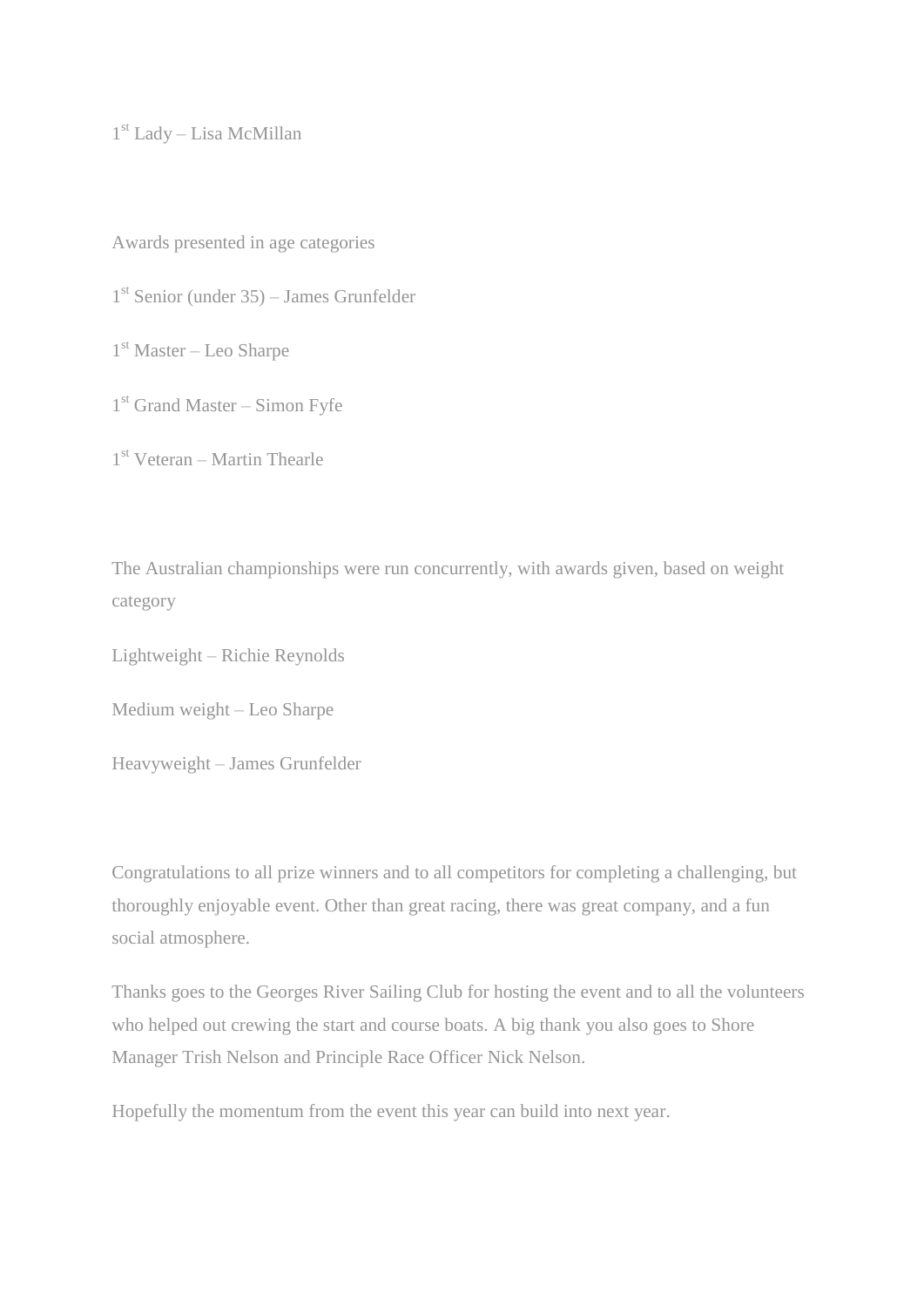1 st Lady – Lisa McMillan

Awards presented in age categories

1 st Senior (under 35) – James Grunfelder

1 st Master – Leo Sharpe

1 st Grand Master – Simon Fyfe

1 st Veteran – Martin Thearle

The Australian championships were run concurrently, with awards given, based on weight category

Lightweight – Richie Reynolds

Medium weight – Leo Sharpe

Heavyweight – James Grunfelder

Congratulations to all prize winners and to all competitors for completing a challenging, but thoroughly enjoyable event. Other than great racing, there was great company, and a fun social atmosphere.

Thanks goes to the Georges River Sailing Club for hosting the event and to all the volunteers who helped out crewing the start and course boats. A big thank you also goes to Shore Manager Trish Nelson and Principle Race Officer Nick Nelson.

Hopefully the momentum from the event this year can build into next year.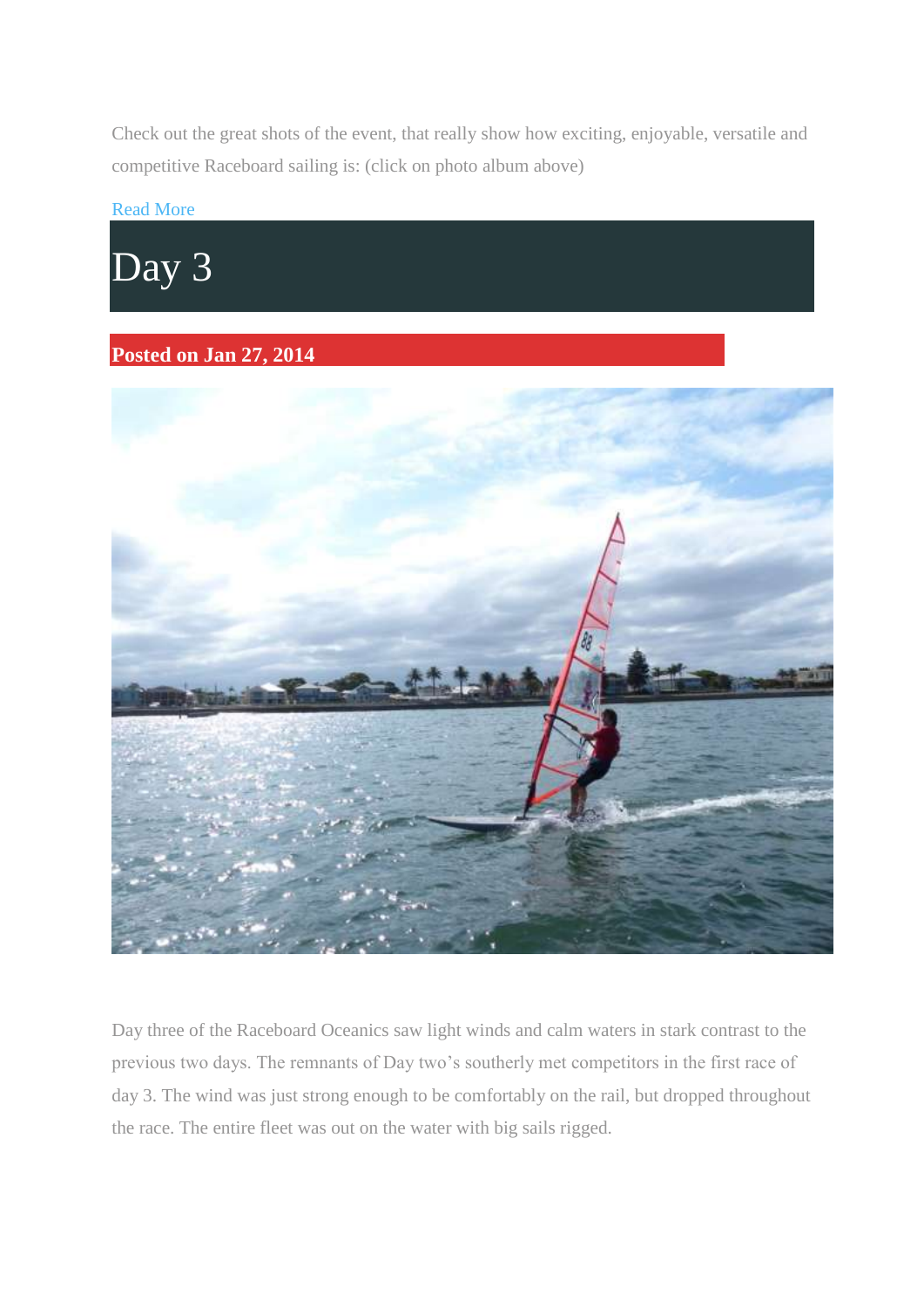Check out the great shots of the event, that really show how exciting, enjoyable, versatile and competitive Raceboard sailing is: (click on photo album above)

### [Read More](http://www.raceboards.net.au/uncategorized/day-4/)



## **Posted on Jan 27, 2014**



Day three of the Raceboard Oceanics saw light winds and calm waters in stark contrast to the previous two days. The remnants of Day two's southerly met competitors in the first race of day 3. The wind was just strong enough to be comfortably on the rail, but dropped throughout the race. The entire fleet was out on the water with big sails rigged.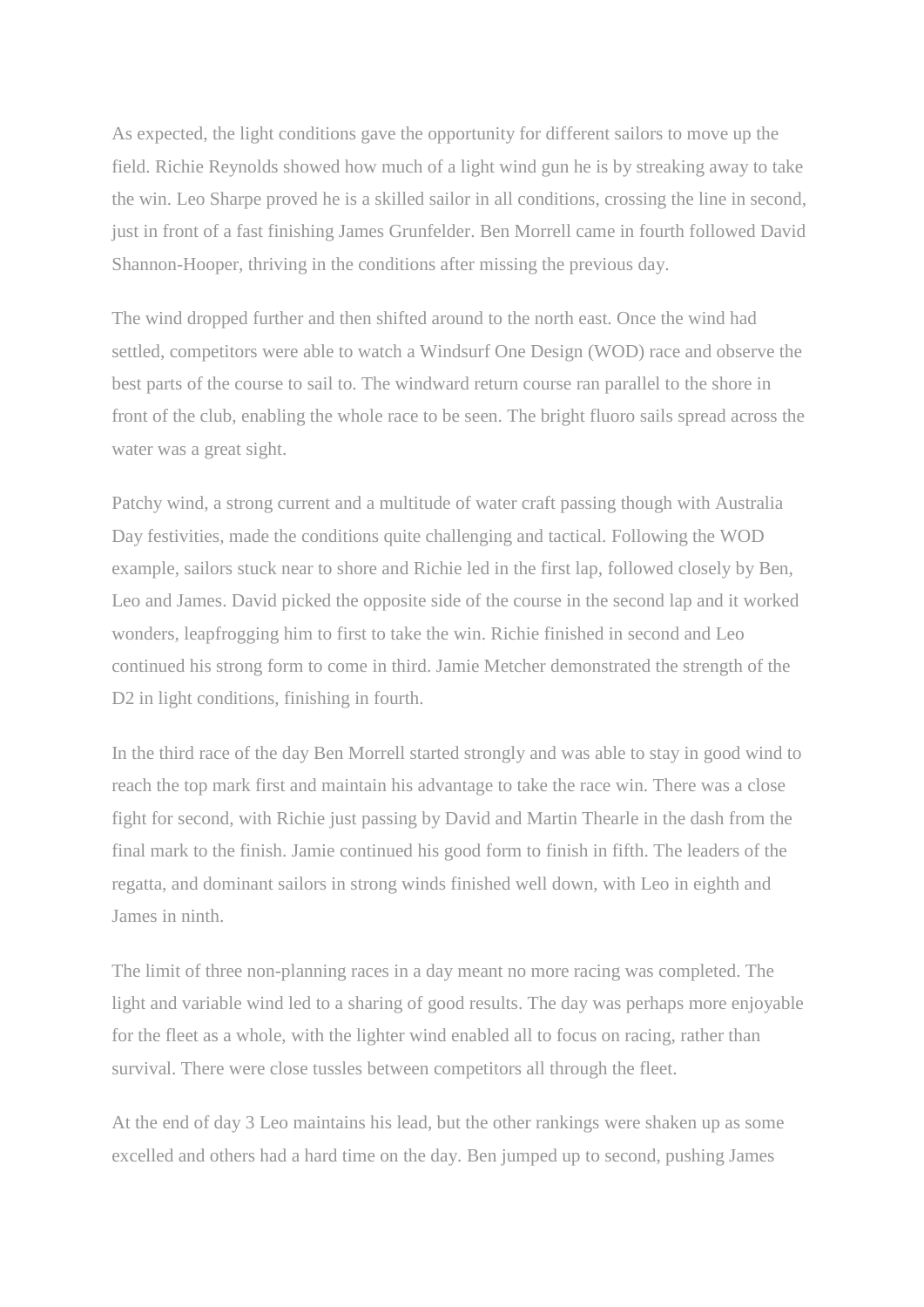As expected, the light conditions gave the opportunity for different sailors to move up the field. Richie Reynolds showed how much of a light wind gun he is by streaking away to take the win. Leo Sharpe proved he is a skilled sailor in all conditions, crossing the line in second, just in front of a fast finishing James Grunfelder. Ben Morrell came in fourth followed David Shannon-Hooper, thriving in the conditions after missing the previous day.

The wind dropped further and then shifted around to the north east. Once the wind had settled, competitors were able to watch a Windsurf One Design (WOD) race and observe the best parts of the course to sail to. The windward return course ran parallel to the shore in front of the club, enabling the whole race to be seen. The bright fluoro sails spread across the water was a great sight.

Patchy wind, a strong current and a multitude of water craft passing though with Australia Day festivities, made the conditions quite challenging and tactical. Following the WOD example, sailors stuck near to shore and Richie led in the first lap, followed closely by Ben, Leo and James. David picked the opposite side of the course in the second lap and it worked wonders, leapfrogging him to first to take the win. Richie finished in second and Leo continued his strong form to come in third. Jamie Metcher demonstrated the strength of the D<sub>2</sub> in light conditions, finishing in fourth.

In the third race of the day Ben Morrell started strongly and was able to stay in good wind to reach the top mark first and maintain his advantage to take the race win. There was a close fight for second, with Richie just passing by David and Martin Thearle in the dash from the final mark to the finish. Jamie continued his good form to finish in fifth. The leaders of the regatta, and dominant sailors in strong winds finished well down, with Leo in eighth and James in ninth.

The limit of three non-planning races in a day meant no more racing was completed. The light and variable wind led to a sharing of good results. The day was perhaps more enjoyable for the fleet as a whole, with the lighter wind enabled all to focus on racing, rather than survival. There were close tussles between competitors all through the fleet.

At the end of day 3 Leo maintains his lead, but the other rankings were shaken up as some excelled and others had a hard time on the day. Ben jumped up to second, pushing James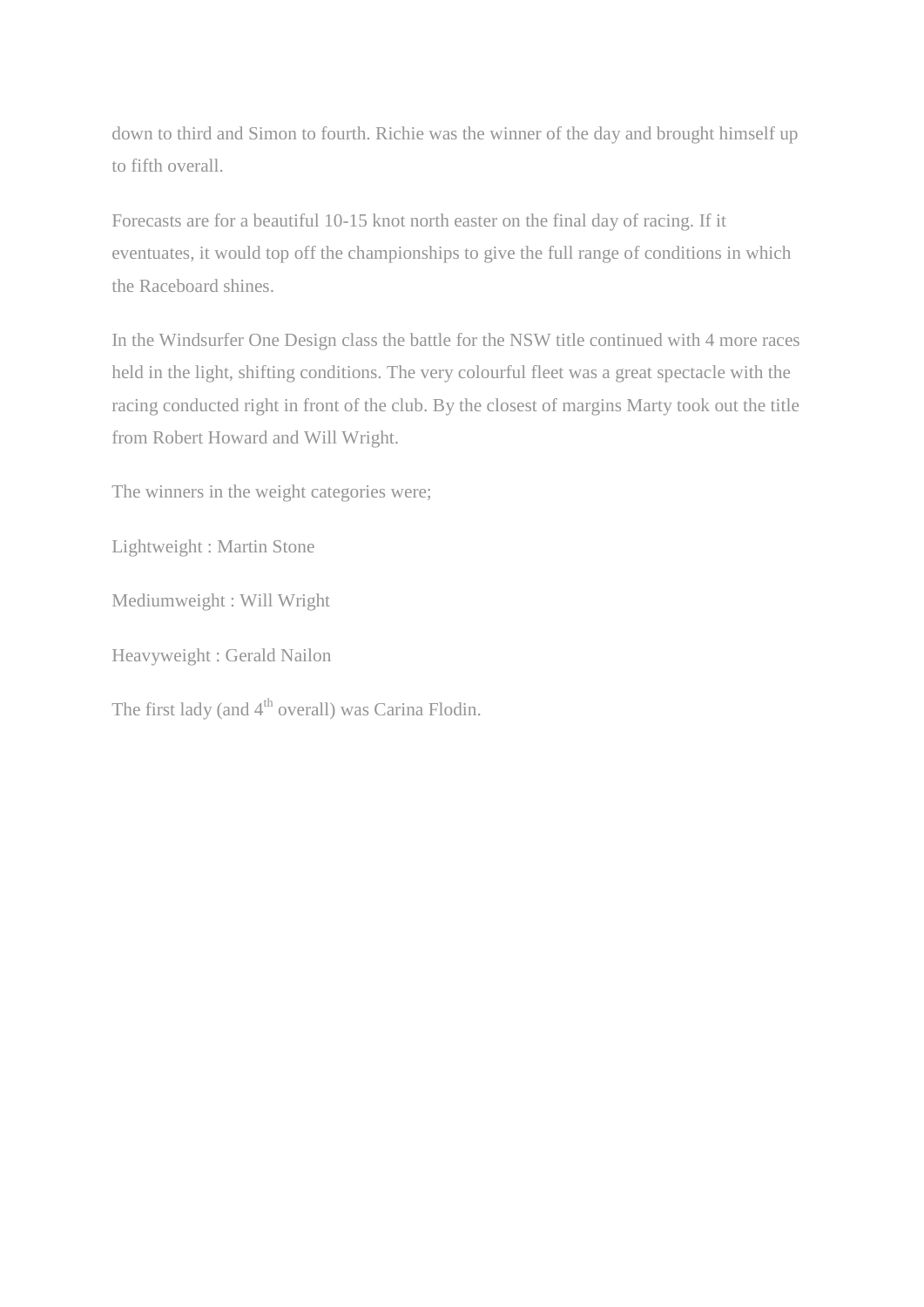down to third and Simon to fourth. Richie was the winner of the day and brought himself up to fifth overall.

Forecasts are for a beautiful 10-15 knot north easter on the final day of racing. If it eventuates, it would top off the championships to give the full range of conditions in which the Raceboard shines.

In the Windsurfer One Design class the battle for the NSW title continued with 4 more races held in the light, shifting conditions. The very colourful fleet was a great spectacle with the racing conducted right in front of the club. By the closest of margins Marty took out the title from Robert Howard and Will Wright.

The winners in the weight categories were;

Lightweight : Martin Stone

Mediumweight : Will Wright

Heavyweight : Gerald Nailon

The first lady (and  $4<sup>th</sup>$  overall) was Carina Flodin.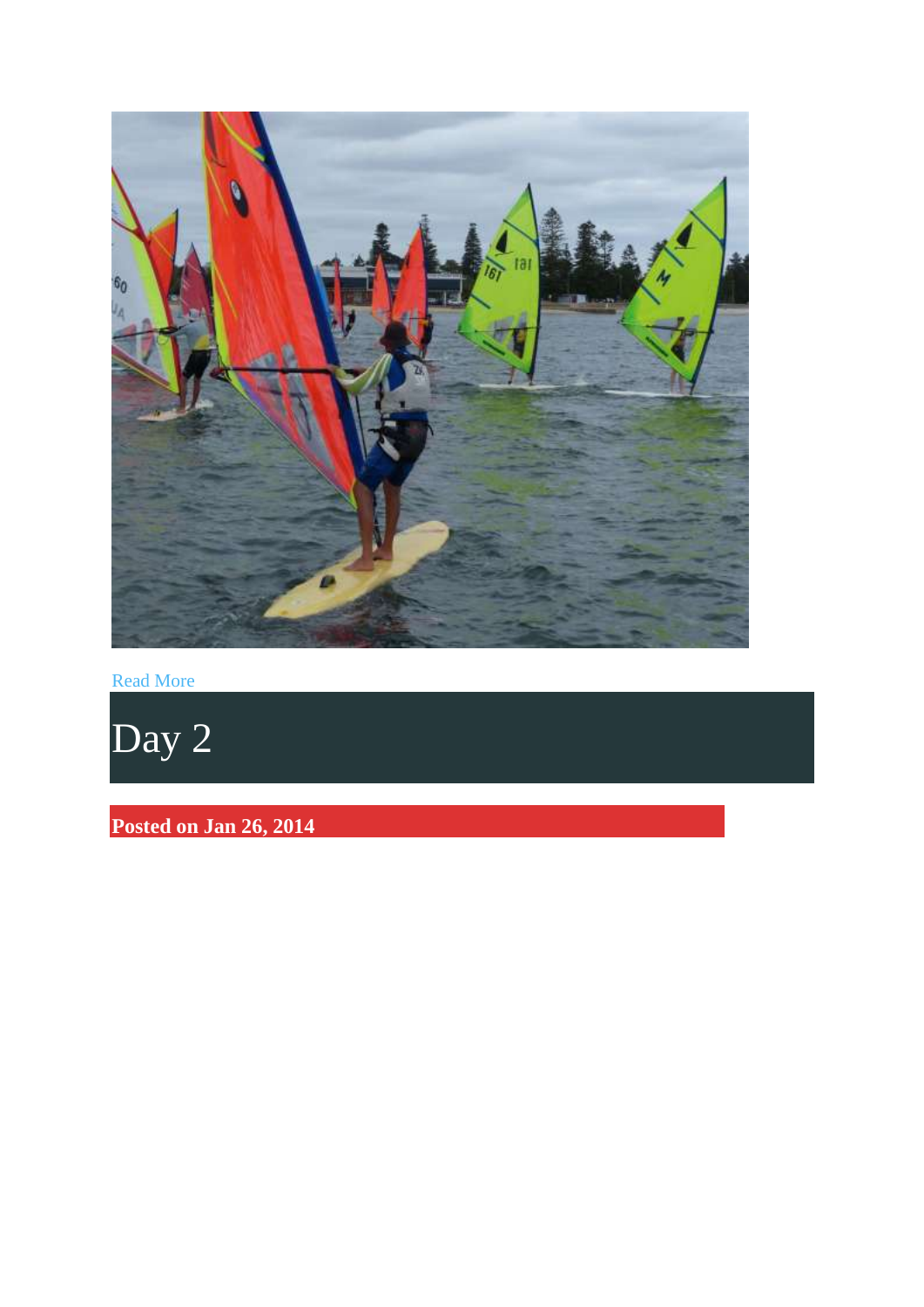

[Read More](http://www.raceboards.net.au/2014-oceanics/day-3/)

[Day 2](http://www.raceboards.net.au/2014-oceanics/day-2/)

**Posted on Jan 26, 2014**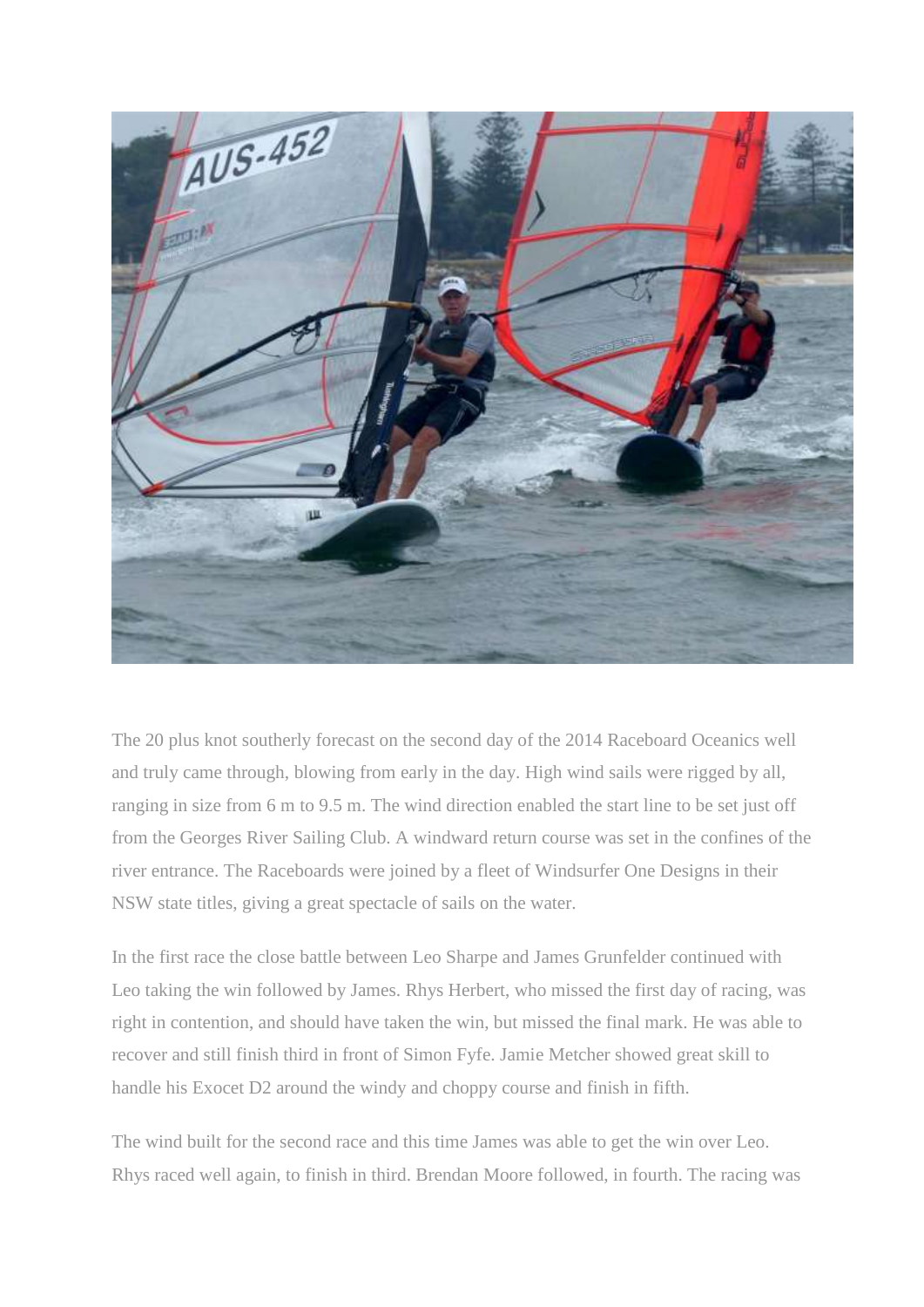

The 20 plus knot southerly forecast on the second day of the 2014 Raceboard Oceanics well and truly came through, blowing from early in the day. High wind sails were rigged by all, ranging in size from 6 m to 9.5 m. The wind direction enabled the start line to be set just off from the Georges River Sailing Club. A windward return course was set in the confines of the river entrance. The Raceboards were joined by a fleet of Windsurfer One Designs in their NSW state titles, giving a great spectacle of sails on the water.

In the first race the close battle between Leo Sharpe and James Grunfelder continued with Leo taking the win followed by James. Rhys Herbert, who missed the first day of racing, was right in contention, and should have taken the win, but missed the final mark. He was able to recover and still finish third in front of Simon Fyfe. Jamie Metcher showed great skill to handle his Exocet D2 around the windy and choppy course and finish in fifth.

The wind built for the second race and this time James was able to get the win over Leo. Rhys raced well again, to finish in third. Brendan Moore followed, in fourth. The racing was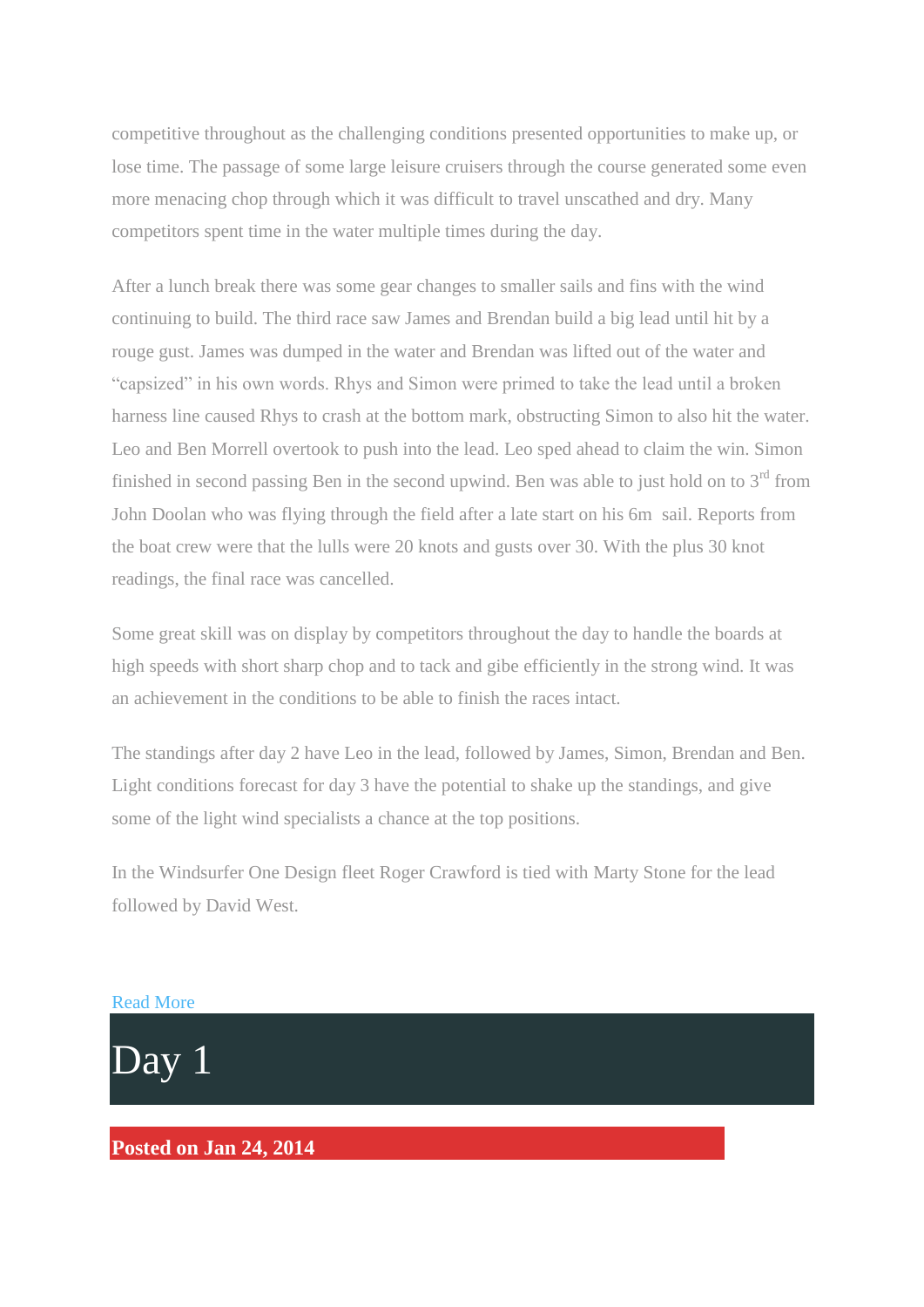competitive throughout as the challenging conditions presented opportunities to make up, or lose time. The passage of some large leisure cruisers through the course generated some even more menacing chop through which it was difficult to travel unscathed and dry. Many competitors spent time in the water multiple times during the day.

After a lunch break there was some gear changes to smaller sails and fins with the wind continuing to build. The third race saw James and Brendan build a big lead until hit by a rouge gust. James was dumped in the water and Brendan was lifted out of the water and "capsized" in his own words. Rhys and Simon were primed to take the lead until a broken harness line caused Rhys to crash at the bottom mark, obstructing Simon to also hit the water. Leo and Ben Morrell overtook to push into the lead. Leo sped ahead to claim the win. Simon finished in second passing Ben in the second upwind. Ben was able to just hold on to  $3<sup>rd</sup>$  from John Doolan who was flying through the field after a late start on his 6m sail. Reports from the boat crew were that the lulls were 20 knots and gusts over 30. With the plus 30 knot readings, the final race was cancelled.

Some great skill was on display by competitors throughout the day to handle the boards at high speeds with short sharp chop and to tack and gibe efficiently in the strong wind. It was an achievement in the conditions to be able to finish the races intact.

The standings after day 2 have Leo in the lead, followed by James, Simon, Brendan and Ben. Light conditions forecast for day 3 have the potential to shake up the standings, and give some of the light wind specialists a chance at the top positions.

In the Windsurfer One Design fleet Roger Crawford is tied with Marty Stone for the lead followed by David West.





**Posted on Jan 24, 2014**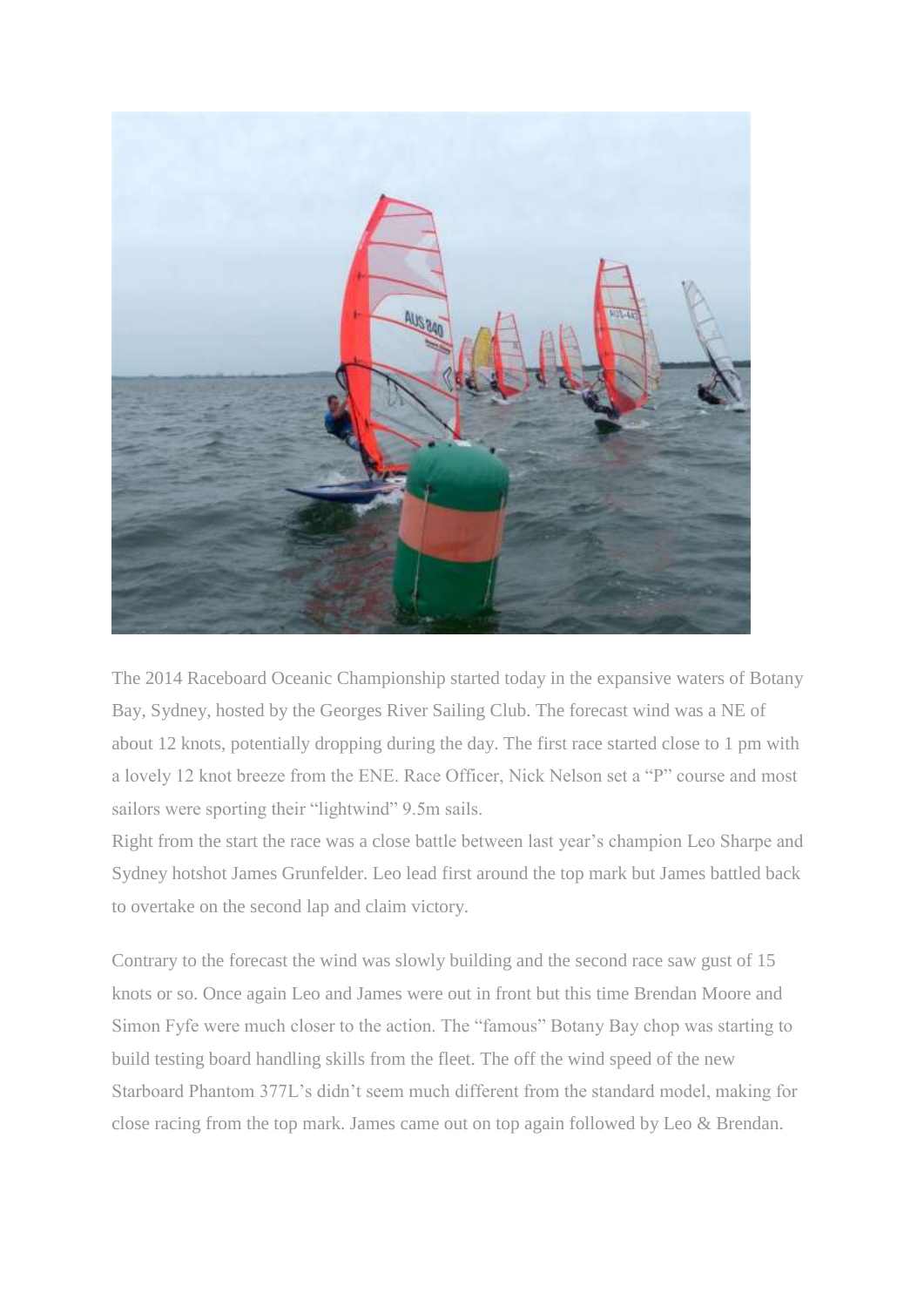

The 2014 Raceboard Oceanic Championship started today in the expansive waters of Botany Bay, Sydney, hosted by the Georges River Sailing Club. The forecast wind was a NE of about 12 knots, potentially dropping during the day. The first race started close to 1 pm with a lovely 12 knot breeze from the ENE. Race Officer, Nick Nelson set a "P" course and most sailors were sporting their "lightwind" 9.5m sails.

Right from the start the race was a close battle between last year's champion Leo Sharpe and Sydney hotshot James Grunfelder. Leo lead first around the top mark but James battled back to overtake on the second lap and claim victory.

Contrary to the forecast the wind was slowly building and the second race saw gust of 15 knots or so. Once again Leo and James were out in front but this time Brendan Moore and Simon Fyfe were much closer to the action. The "famous" Botany Bay chop was starting to build testing board handling skills from the fleet. The off the wind speed of the new Starboard Phantom 377L's didn't seem much different from the standard model, making for close racing from the top mark. James came out on top again followed by Leo & Brendan.